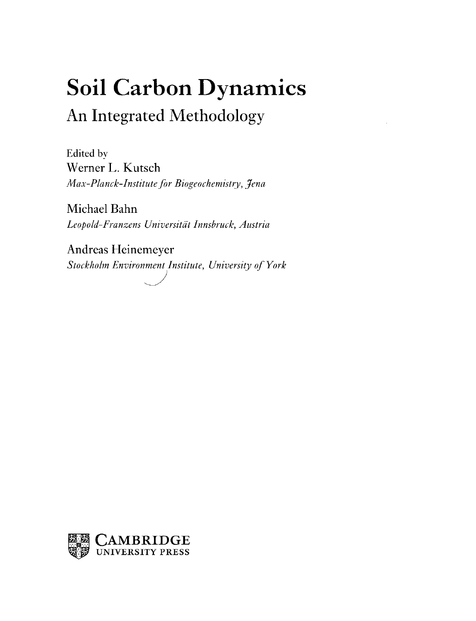## Soil Carbon Dynamics An Integrated Methodology

Edited by Werner L. Kutsch *Max-Planck-Institute for Biogeochemistry, Jena*

Michael Bahn *Leopold-Franzens Universitdt Innsbruck, Austria*

Andreas Heinemeyer *Stockholm Environment Institute, University of York*